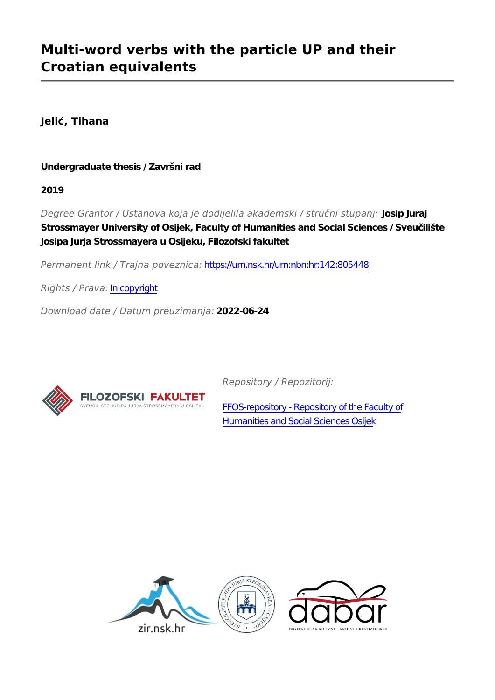# **Multi-word verbs with the particle UP and their Croatian equivalents**

**Jelić, Tihana**

**Undergraduate thesis / Završni rad**

**2019**

*Degree Grantor / Ustanova koja je dodijelila akademski / stručni stupanj:* **Josip Juraj Strossmayer University of Osijek, Faculty of Humanities and Social Sciences / Sveučilište Josipa Jurja Strossmayera u Osijeku, Filozofski fakultet**

*Permanent link / Trajna poveznica:* <https://urn.nsk.hr/urn:nbn:hr:142:805448>

*Rights / Prava:* [In copyright](http://rightsstatements.org/vocab/InC/1.0/)

*Download date / Datum preuzimanja:* **2022-06-24**



*Repository / Repozitorij:*

[FFOS-repository - Repository of the Faculty of](https://repozitorij.ffos.hr) [Humanities and Social Sciences Osijek](https://repozitorij.ffos.hr)

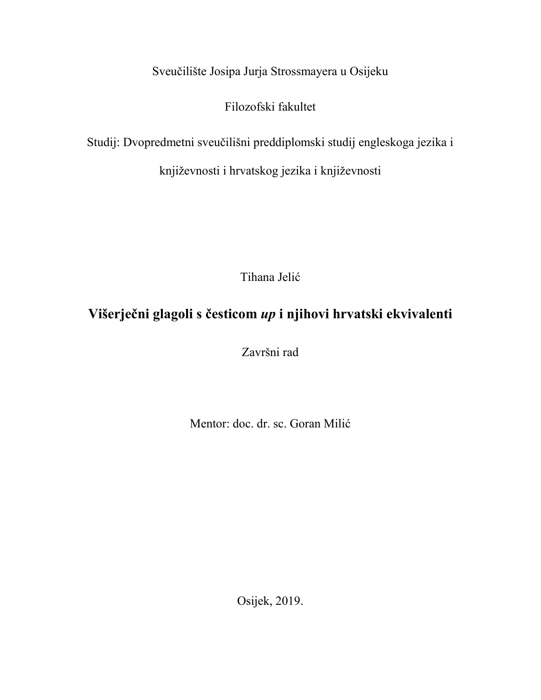Sveučilište Josipa Jurja Strossmayera u Osijeku

Filozofski fakultet

Studij: Dvopredmetni sveučilišni preddiplomski studij engleskoga jezika i

književnosti i hrvatskog jezika i književnosti

Tihana Jelić

# **Višerječni glagoli s česticom** *up* **i njihovi hrvatski ekvivalenti**

Završni rad

Mentor: doc. dr. sc. Goran Milić

Osijek, 2019.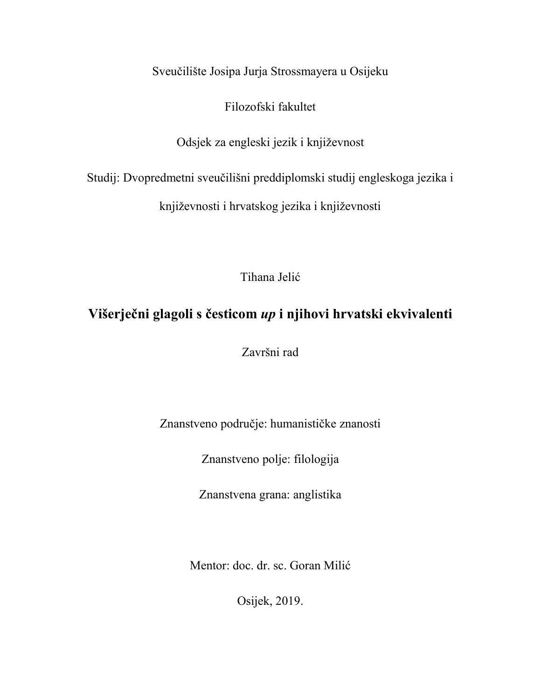Sveučilište Josipa Jurja Strossmayera u Osijeku

Filozofski fakultet

Odsjek za engleski jezik i književnost

Studij: Dvopredmetni sveučilišni preddiplomski studij engleskoga jezika i

književnosti i hrvatskog jezika i književnosti

Tihana Jelić

## **Višerječni glagoli s česticom** *up* **i njihovi hrvatski ekvivalenti**

Završni rad

Znanstveno područje: humanističke znanosti

Znanstveno polje: filologija

Znanstvena grana: anglistika

Mentor: doc. dr. sc. Goran Milić

Osijek, 2019.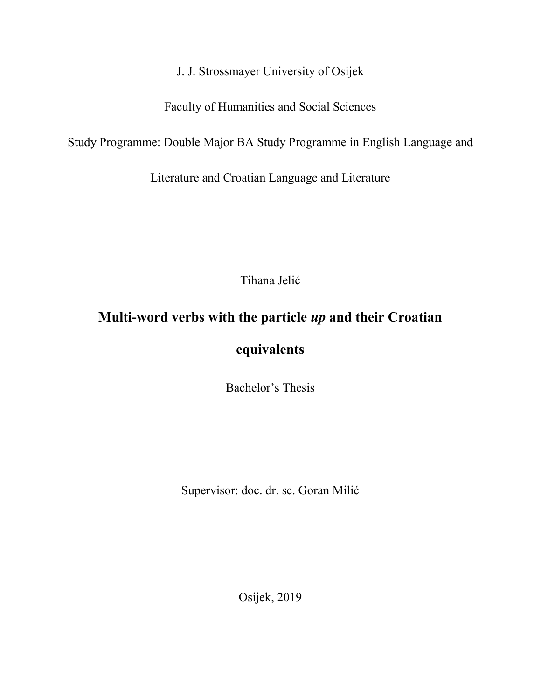J. J. Strossmayer University of Osijek

Faculty of Humanities and Social Sciences

Study Programme: Double Major BA Study Programme in English Language and

Literature and Croatian Language and Literature

Tihana Jelić

# **Multi-word verbs with the particle** *up* **and their Croatian**

### **equivalents**

Bachelor's Thesis

Supervisor: doc. dr. sc. Goran Milić

Osijek, 2019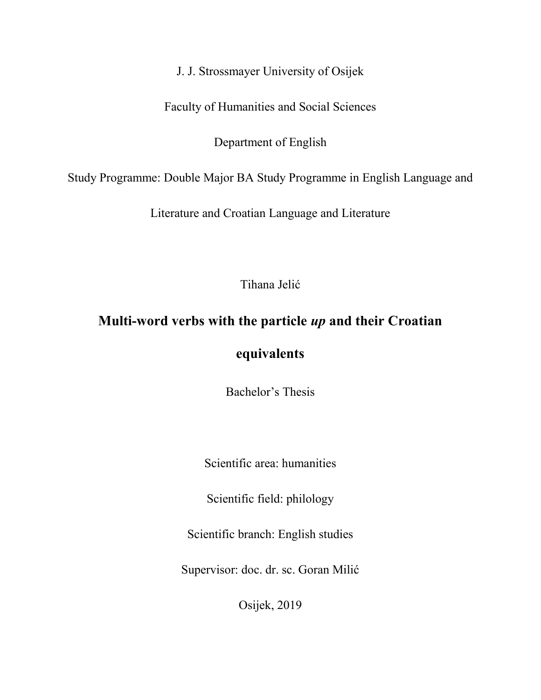J. J. Strossmayer University of Osijek

Faculty of Humanities and Social Sciences

Department of English

Study Programme: Double Major BA Study Programme in English Language and

Literature and Croatian Language and Literature

Tihana Jelić

# **Multi-word verbs with the particle** *up* **and their Croatian**

### **equivalents**

Bachelor's Thesis

Scientific area: humanities

Scientific field: philology

Scientific branch: English studies

Supervisor: doc. dr. sc. Goran Milić

Osijek, 2019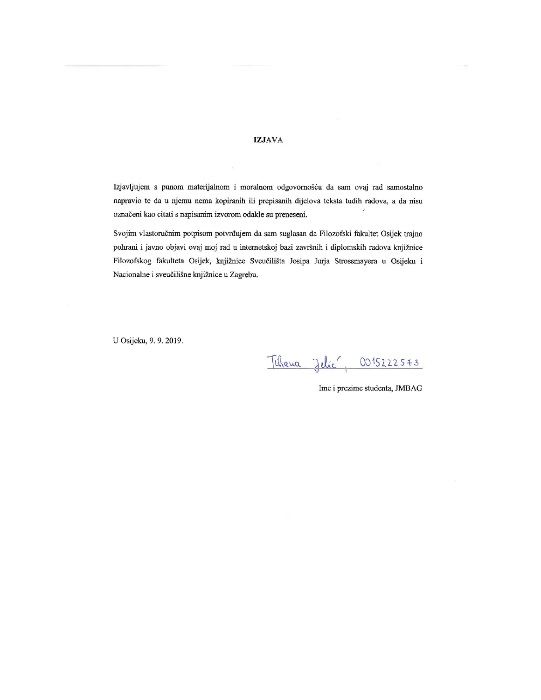#### **IZJAVA**

Izjavljujem s punom materijalnom i moralnom odgovornošću da sam ovaj rad samostalno napravio te da u njemu nema kopiranih ili prepisanih dijelova teksta tuđih radova, a da nisu označeni kao citati s napisanim izvorom odakle su preneseni.

Svojim vlastoručnim potpisom potvrđujem da sam suglasan da Filozofski fakultet Osijek trajno pohrani i javno objavi ovaj moj rad u internetskoj bazi završnih i diplomskih radova knjižnice Filozofskog fakulteta Osijek, knjižnice Sveučilišta Josipa Jurja Strossmayera u Osijeku i Nacionalne i sveučilišne knjižnice u Zagrebu.

U Osijeku, 9. 9. 2019.

<u> Tihana Jelic , 0015222573</u>

Ime i prezime studenta, JMBAG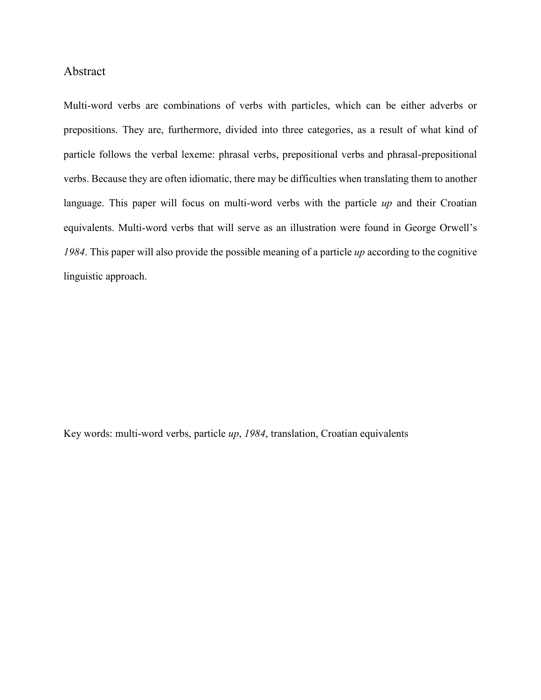#### Abstract

Multi-word verbs are combinations of verbs with particles, which can be either adverbs or prepositions. They are, furthermore, divided into three categories, as a result of what kind of particle follows the verbal lexeme: phrasal verbs, prepositional verbs and phrasal-prepositional verbs. Because they are often idiomatic, there may be difficulties when translating them to another language. This paper will focus on multi-word verbs with the particle *up* and their Croatian equivalents. Multi-word verbs that will serve as an illustration were found in George Orwell's *1984*. This paper will also provide the possible meaning of a particle *up* according to the cognitive linguistic approach.

Key words: multi-word verbs, particle *up*, *1984*, translation, Croatian equivalents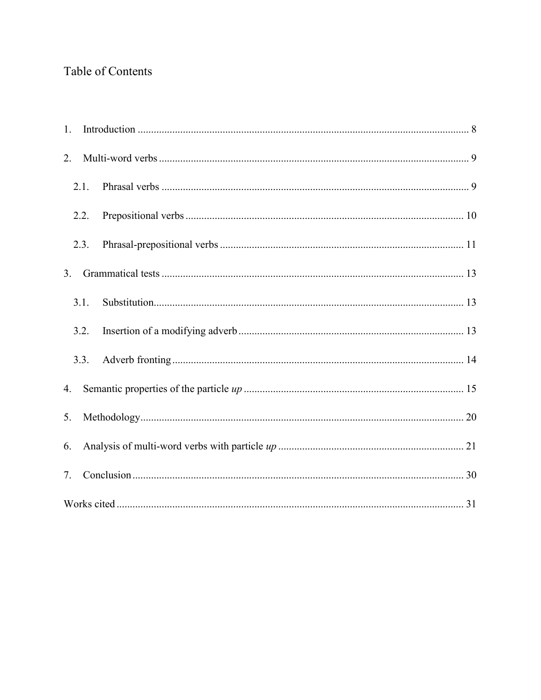### Table of Contents

| 1. |      |  |  |  |
|----|------|--|--|--|
| 2. |      |  |  |  |
|    | 2.1. |  |  |  |
|    | 2.2. |  |  |  |
|    | 2.3. |  |  |  |
| 3. |      |  |  |  |
|    | 3.1. |  |  |  |
|    | 3.2. |  |  |  |
|    | 3.3. |  |  |  |
| 4. |      |  |  |  |
| 5. |      |  |  |  |
| 6. |      |  |  |  |
| 7. |      |  |  |  |
|    |      |  |  |  |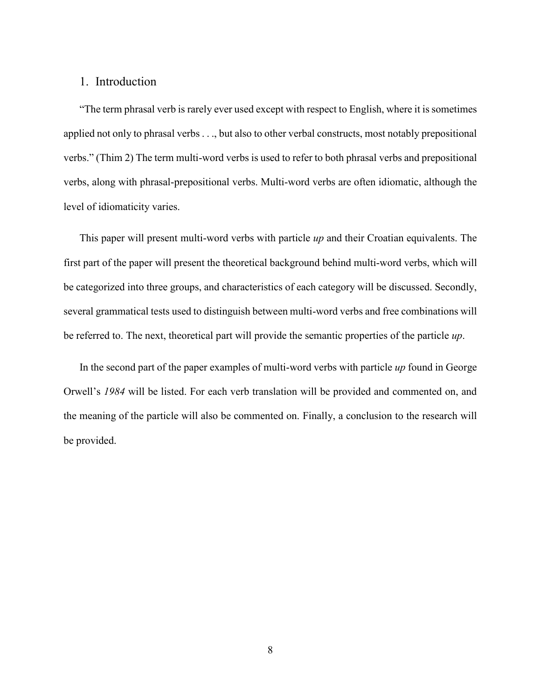#### <span id="page-8-0"></span>1. Introduction

"The term phrasal verb is rarely ever used except with respect to English, where it is sometimes applied not only to phrasal verbs . . ., but also to other verbal constructs, most notably prepositional verbs." (Thim 2) The term multi-word verbs is used to refer to both phrasal verbs and prepositional verbs, along with phrasal-prepositional verbs. Multi-word verbs are often idiomatic, although the level of idiomaticity varies.

This paper will present multi-word verbs with particle *up* and their Croatian equivalents. The first part of the paper will present the theoretical background behind multi-word verbs, which will be categorized into three groups, and characteristics of each category will be discussed. Secondly, several grammatical tests used to distinguish between multi-word verbs and free combinations will be referred to. The next, theoretical part will provide the semantic properties of the particle *up*.

In the second part of the paper examples of multi-word verbs with particle *up* found in George Orwell's *1984* will be listed. For each verb translation will be provided and commented on, and the meaning of the particle will also be commented on. Finally, a conclusion to the research will be provided.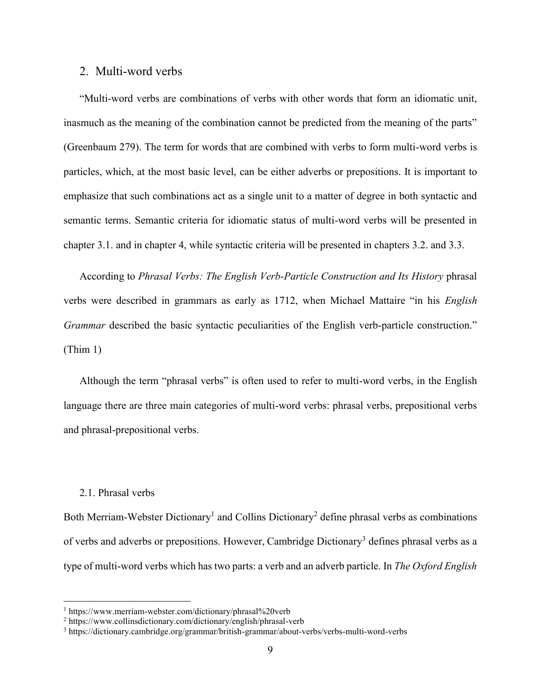#### <span id="page-9-0"></span>2. Multi-word verbs

"Multi-word verbs are combinations of verbs with other words that form an idiomatic unit, inasmuch as the meaning of the combination cannot be predicted from the meaning of the parts" (Greenbaum 279). The term for words that are combined with verbs to form multi-word verbs is particles, which, at the most basic level, can be either adverbs or prepositions. It is important to emphasize that such combinations act as a single unit to a matter of degree in both syntactic and semantic terms. Semantic criteria for idiomatic status of multi-word verbs will be presented in chapter 3.1. and in chapter 4, while syntactic criteria will be presented in chapters 3.2. and 3.3.

According to *Phrasal Verbs: The English Verb-Particle Construction and Its History* phrasal verbs were described in grammars as early as 1712, when Michael Mattaire "in his *English Grammar* described the basic syntactic peculiarities of the English verb-particle construction." (Thim 1)

Although the term "phrasal verbs" is often used to refer to multi-word verbs, in the English language there are three main categories of multi-word verbs: phrasal verbs, prepositional verbs and phrasal-prepositional verbs.

#### <span id="page-9-1"></span>2.1. Phrasal verbs

 $\overline{\phantom{a}}$ 

Both Merriam-Webster Dictionary<sup>1</sup> and Collins Dictionary<sup>2</sup> define phrasal verbs as combinations of verbs and adverbs or prepositions. However, Cambridge Dictionary<sup>3</sup> defines phrasal verbs as a type of multi-word verbs which has two parts: a verb and an adverb particle. In *The Oxford English* 

<sup>&</sup>lt;sup>1</sup> https://www.merriam-webster.com/dictionary/phrasal%20verb

<sup>2</sup> https://www.collinsdictionary.com/dictionary/english/phrasal-verb

<sup>3</sup> https://dictionary.cambridge.org/grammar/british-grammar/about-verbs/verbs-multi-word-verbs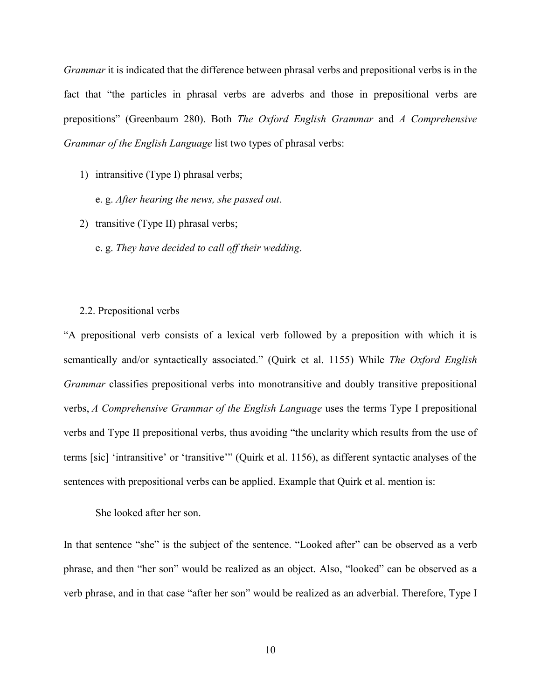*Grammar* it is indicated that the difference between phrasal verbs and prepositional verbs is in the fact that "the particles in phrasal verbs are adverbs and those in prepositional verbs are prepositions" (Greenbaum 280). Both *The Oxford English Grammar* and *A Comprehensive Grammar of the English Language* list two types of phrasal verbs:

- 1) intransitive (Type I) phrasal verbs;
	- e. g. *After hearing the news, she passed out*.
- 2) transitive (Type II) phrasal verbs;
	- e. g. *They have decided to call off their wedding*.

#### <span id="page-10-0"></span>2.2. Prepositional verbs

"A prepositional verb consists of a lexical verb followed by a preposition with which it is semantically and/or syntactically associated." (Quirk et al. 1155) While *The Oxford English Grammar* classifies prepositional verbs into monotransitive and doubly transitive prepositional verbs, *A Comprehensive Grammar of the English Language* uses the terms Type I prepositional verbs and Type II prepositional verbs, thus avoiding "the unclarity which results from the use of terms [sic] 'intransitive' or 'transitive'" (Quirk et al. 1156), as different syntactic analyses of the sentences with prepositional verbs can be applied. Example that Quirk et al. mention is:

She looked after her son.

In that sentence "she" is the subject of the sentence. "Looked after" can be observed as a verb phrase, and then "her son" would be realized as an object. Also, "looked" can be observed as a verb phrase, and in that case "after her son" would be realized as an adverbial. Therefore, Type I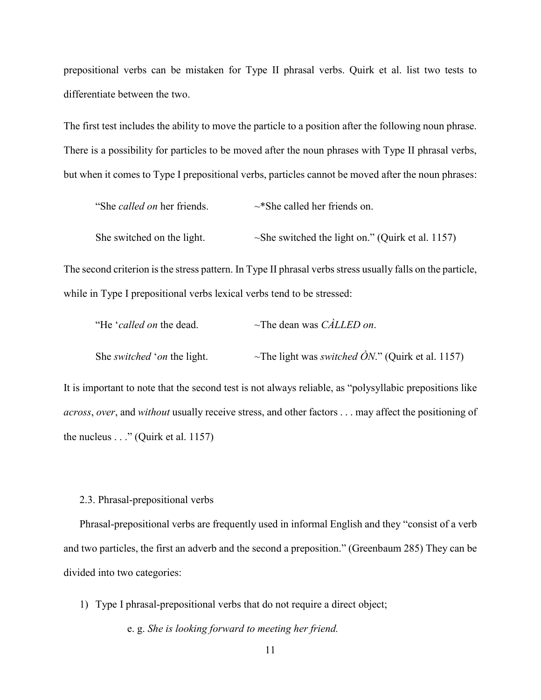prepositional verbs can be mistaken for Type II phrasal verbs. Quirk et al. list two tests to differentiate between the two.

The first test includes the ability to move the particle to a position after the following noun phrase. There is a possibility for particles to be moved after the noun phrases with Type II phrasal verbs, but when it comes to Type I prepositional verbs, particles cannot be moved after the noun phrases:

| "She <i>called on</i> her friends. | $\sim$ *She called her friends on.                     |
|------------------------------------|--------------------------------------------------------|
| She switched on the light.         | $\sim$ She switched the light on." (Quirk et al. 1157) |

The second criterion is the stress pattern. In Type II phrasal verbs stress usually falls on the particle, while in Type I prepositional verbs lexical verbs tend to be stressed:

| "He 'called on the dead.           | $\sim$ The dean was <i>CALLED on</i> .                                      |  |
|------------------------------------|-----------------------------------------------------------------------------|--|
| She <i>switched</i> 'on the light. | ~The light was <i>switched <math>\hat{O}N</math>.</i> " (Quirk et al. 1157) |  |

It is important to note that the second test is not always reliable, as "polysyllabic prepositions like *across*, *over*, and *without* usually receive stress, and other factors . . . may affect the positioning of the nucleus  $\ldots$ " (Quirk et al. 1157)

<span id="page-11-0"></span>2.3. Phrasal-prepositional verbs

Phrasal-prepositional verbs are frequently used in informal English and they "consist of a verb and two particles, the first an adverb and the second a preposition." (Greenbaum 285) They can be divided into two categories:

1) Type I phrasal-prepositional verbs that do not require a direct object;

e. g. *She is looking forward to meeting her friend.*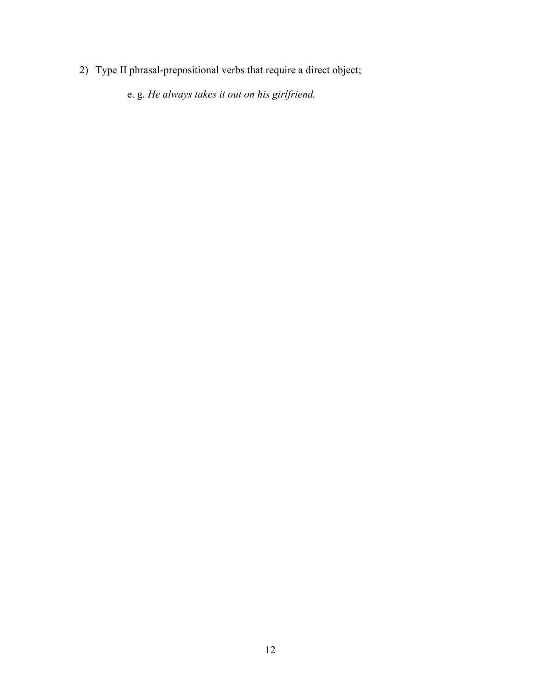2) Type II phrasal-prepositional verbs that require a direct object;

e. g. *He always takes it out on his girlfriend.*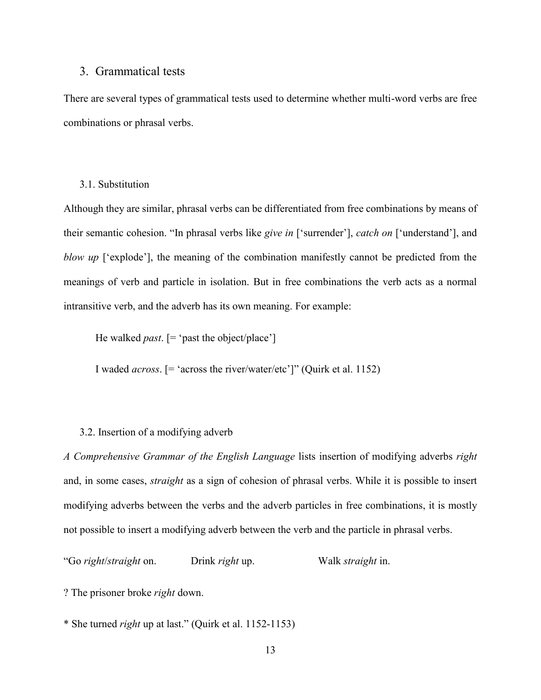#### <span id="page-13-0"></span>3. Grammatical tests

There are several types of grammatical tests used to determine whether multi-word verbs are free combinations or phrasal verbs.

#### <span id="page-13-1"></span>3.1. Substitution

Although they are similar, phrasal verbs can be differentiated from free combinations by means of their semantic cohesion. "In phrasal verbs like *give in* ['surrender'], *catch on* ['understand'], and *blow up* ['explode'], the meaning of the combination manifestly cannot be predicted from the meanings of verb and particle in isolation. But in free combinations the verb acts as a normal intransitive verb, and the adverb has its own meaning. For example:

He walked *past*. [= 'past the object/place']

I waded *across*. [= 'across the river/water/etc']" (Quirk et al. 1152)

#### <span id="page-13-2"></span>3.2. Insertion of a modifying adverb

*A Comprehensive Grammar of the English Language* lists insertion of modifying adverbs *right*  and, in some cases, *straight* as a sign of cohesion of phrasal verbs. While it is possible to insert modifying adverbs between the verbs and the adverb particles in free combinations, it is mostly not possible to insert a modifying adverb between the verb and the particle in phrasal verbs.

"Go *right*/*straight* on. Drink *right* up. Walk *straight* in.

? The prisoner broke *right* down.

\* She turned *right* up at last." (Quirk et al. 1152-1153)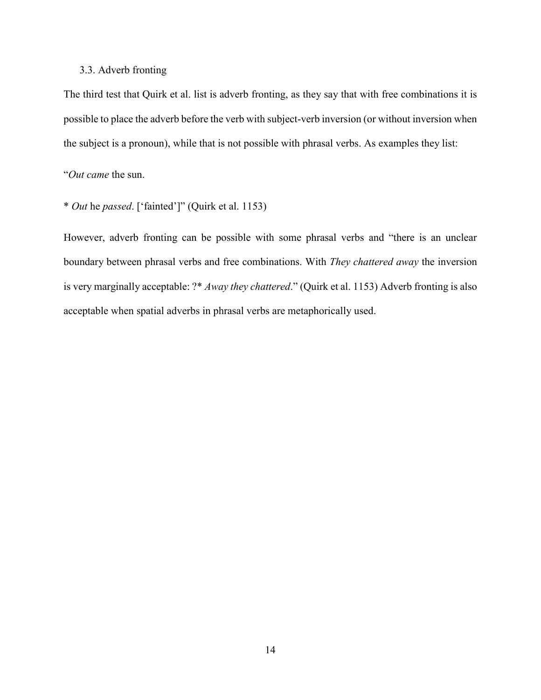#### <span id="page-14-0"></span>3.3. Adverb fronting

The third test that Quirk et al. list is adverb fronting, as they say that with free combinations it is possible to place the adverb before the verb with subject-verb inversion (or without inversion when the subject is a pronoun), while that is not possible with phrasal verbs. As examples they list:

"*Out came* the sun.

\* *Out* he *passed*. ['fainted']" (Quirk et al. 1153)

However, adverb fronting can be possible with some phrasal verbs and "there is an unclear boundary between phrasal verbs and free combinations. With *They chattered away* the inversion is very marginally acceptable: ?\* *Away they chattered*." (Quirk et al. 1153) Adverb fronting is also acceptable when spatial adverbs in phrasal verbs are metaphorically used.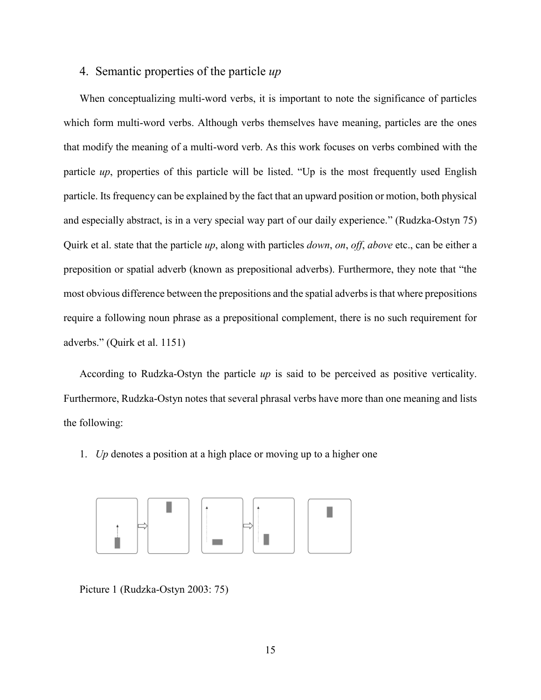#### <span id="page-15-0"></span>4. Semantic properties of the particle *up*

When conceptualizing multi-word verbs, it is important to note the significance of particles which form multi-word verbs. Although verbs themselves have meaning, particles are the ones that modify the meaning of a multi-word verb. As this work focuses on verbs combined with the particle *up*, properties of this particle will be listed. "Up is the most frequently used English particle. Its frequency can be explained by the fact that an upward position or motion, both physical and especially abstract, is in a very special way part of our daily experience." (Rudzka-Ostyn 75) Quirk et al. state that the particle *up*, along with particles *down*, *on*, *off*, *above* etc., can be either a preposition or spatial adverb (known as prepositional adverbs). Furthermore, they note that "the most obvious difference between the prepositions and the spatial adverbs is that where prepositions require a following noun phrase as a prepositional complement, there is no such requirement for adverbs." (Quirk et al. 1151)

According to Rudzka-Ostyn the particle *up* is said to be perceived as positive verticality. Furthermore, Rudzka-Ostyn notes that several phrasal verbs have more than one meaning and lists the following:

1. *Up* denotes a position at a high place or moving up to a higher one



Picture 1 (Rudzka-Ostyn 2003: 75)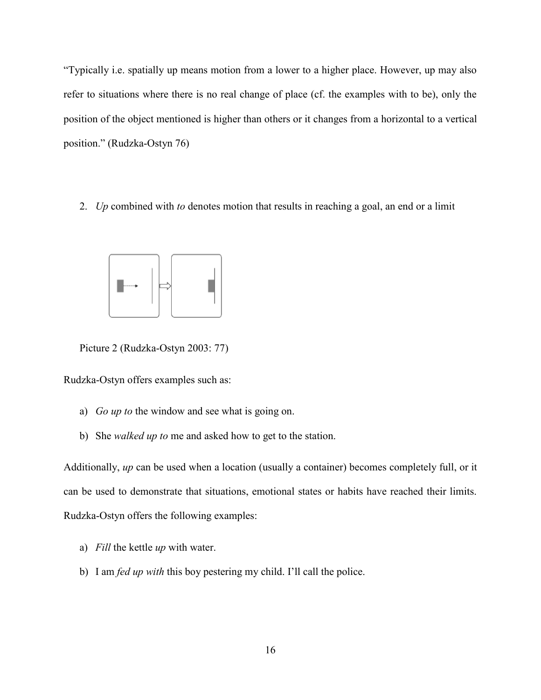"Typically i.e. spatially up means motion from a lower to a higher place. However, up may also refer to situations where there is no real change of place (cf. the examples with to be), only the position of the object mentioned is higher than others or it changes from a horizontal to a vertical position." (Rudzka-Ostyn 76)

2. *Up* combined with *to* denotes motion that results in reaching a goal, an end or a limit



Picture 2 (Rudzka-Ostyn 2003: 77)

Rudzka-Ostyn offers examples such as:

- a) *Go up to* the window and see what is going on.
- b) She *walked up to* me and asked how to get to the station.

Additionally, *up* can be used when a location (usually a container) becomes completely full, or it can be used to demonstrate that situations, emotional states or habits have reached their limits. Rudzka-Ostyn offers the following examples:

- a) *Fill* the kettle *up* with water.
- b) I am *fed up with* this boy pestering my child. I'll call the police.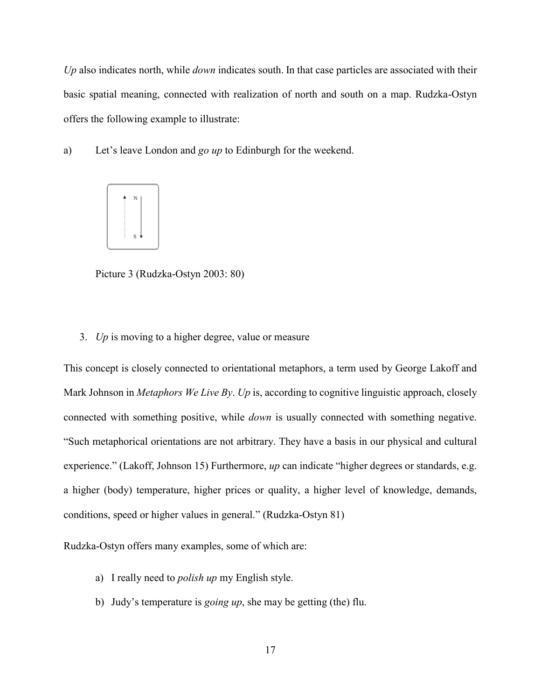*Up* also indicates north, while *down* indicates south. In that case particles are associated with their basic spatial meaning, connected with realization of north and south on a map. Rudzka-Ostyn offers the following example to illustrate:

a) Let's leave London and *go up* to Edinburgh for the weekend.



Picture 3 (Rudzka-Ostyn 2003: 80)

3. *Up* is moving to a higher degree, value or measure

This concept is closely connected to orientational metaphors, a term used by George Lakoff and Mark Johnson in *Metaphors We Live By*. *Up* is, according to cognitive linguistic approach, closely connected with something positive, while *down* is usually connected with something negative. "Such metaphorical orientations are not arbitrary. They have a basis in our physical and cultural experience." (Lakoff, Johnson 15) Furthermore, *up* can indicate "higher degrees or standards, e.g. a higher (body) temperature, higher prices or quality, a higher level of knowledge, demands, conditions, speed or higher values in general." (Rudzka-Ostyn 81)

Rudzka-Ostyn offers many examples, some of which are:

- a) I really need to *polish up* my English style.
- b) Judy's temperature is *going up*, she may be getting (the) flu.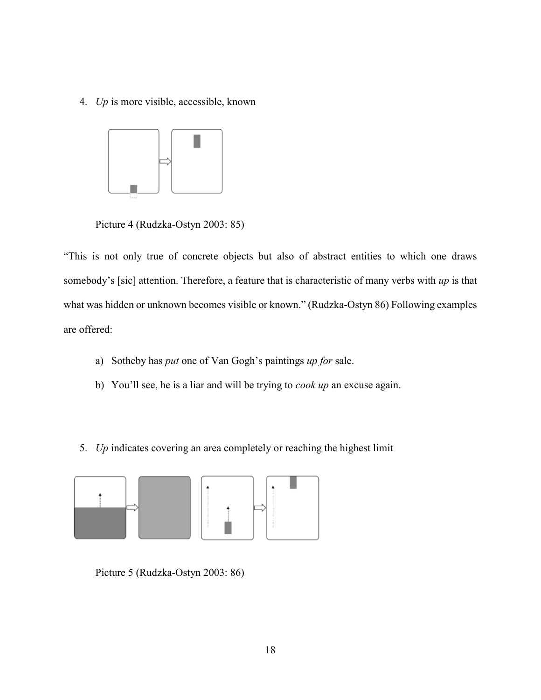4. *Up* is more visible, accessible, known



Picture 4 (Rudzka-Ostyn 2003: 85)

"This is not only true of concrete objects but also of abstract entities to which one draws somebody's [sic] attention. Therefore, a feature that is characteristic of many verbs with *up* is that what was hidden or unknown becomes visible or known." (Rudzka-Ostyn 86) Following examples are offered:

- a) Sotheby has *put* one of Van Gogh's paintings *up for* sale.
- b) You'll see, he is a liar and will be trying to *cook up* an excuse again.
- 5. *Up* indicates covering an area completely or reaching the highest limit



Picture 5 (Rudzka-Ostyn 2003: 86)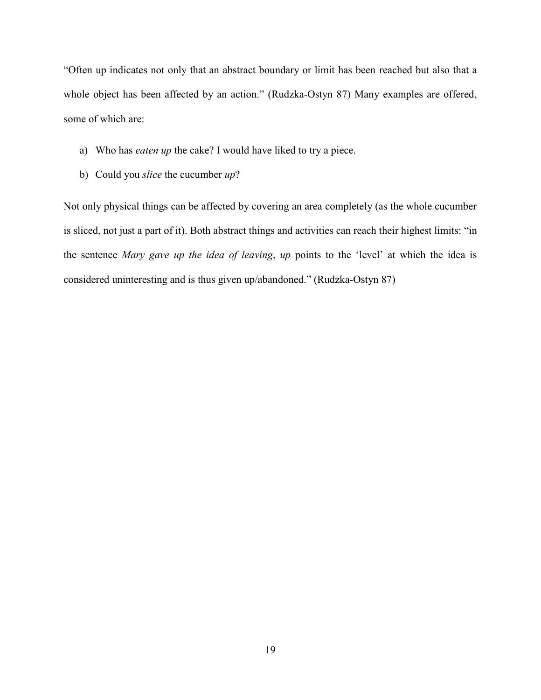"Often up indicates not only that an abstract boundary or limit has been reached but also that a whole object has been affected by an action." (Rudzka-Ostyn 87) Many examples are offered, some of which are:

- a) Who has *eaten up* the cake? I would have liked to try a piece.
- b) Could you *slice* the cucumber *up*?

Not only physical things can be affected by covering an area completely (as the whole cucumber is sliced, not just a part of it). Both abstract things and activities can reach their highest limits: "in the sentence *Mary gave up the idea of leaving*, *up* points to the 'level' at which the idea is considered uninteresting and is thus given up/abandoned." (Rudzka-Ostyn 87)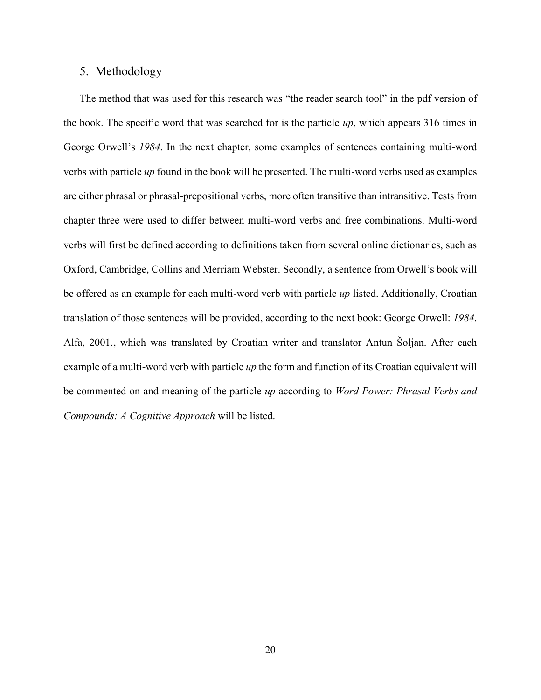#### <span id="page-20-0"></span>5. Methodology

The method that was used for this research was "the reader search tool" in the pdf version of the book. The specific word that was searched for is the particle *up*, which appears 316 times in George Orwell's *1984*. In the next chapter, some examples of sentences containing multi-word verbs with particle *up* found in the book will be presented. The multi-word verbs used as examples are either phrasal or phrasal-prepositional verbs, more often transitive than intransitive. Tests from chapter three were used to differ between multi-word verbs and free combinations. Multi-word verbs will first be defined according to definitions taken from several online dictionaries, such as Oxford, Cambridge, Collins and Merriam Webster. Secondly, a sentence from Orwell's book will be offered as an example for each multi-word verb with particle *up* listed. Additionally, Croatian translation of those sentences will be provided, according to the next book: George Orwell: *1984*. Alfa, 2001., which was translated by Croatian writer and translator Antun Šoljan. After each example of a multi-word verb with particle *up* the form and function of its Croatian equivalent will be commented on and meaning of the particle *up* according to *Word Power: Phrasal Verbs and Compounds: A Cognitive Approach* will be listed.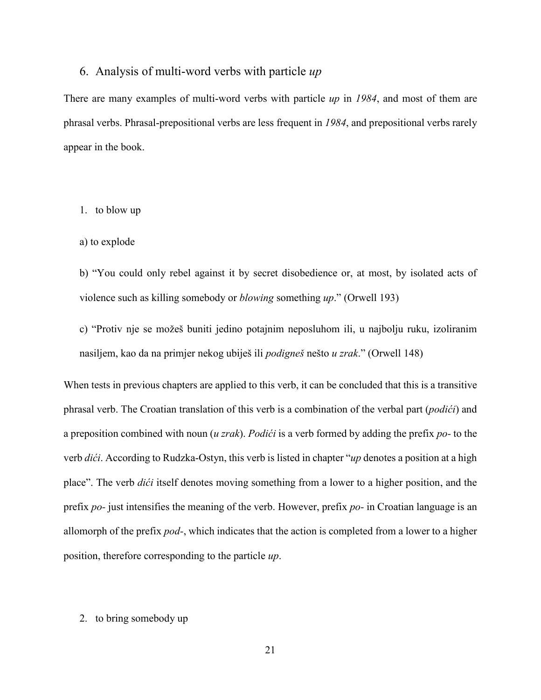#### <span id="page-21-0"></span>6. Analysis of multi-word verbs with particle *up*

There are many examples of multi-word verbs with particle *up* in *1984*, and most of them are phrasal verbs. Phrasal-prepositional verbs are less frequent in *1984*, and prepositional verbs rarely appear in the book.

#### 1. to blow up

#### a) to explode

b) "You could only rebel against it by secret disobedience or, at most, by isolated acts of violence such as killing somebody or *blowing* something *up*." (Orwell 193)

c) "Protiv nje se možeš buniti jedino potajnim neposluhom ili, u najbolju ruku, izoliranim nasiljem, kao da na primjer nekog ubiješ ili *podigneš* nešto *u zrak*." (Orwell 148)

When tests in previous chapters are applied to this verb, it can be concluded that this is a transitive phrasal verb. The Croatian translation of this verb is a combination of the verbal part (*podići*) and a preposition combined with noun (*u zrak*). *Podići* is a verb formed by adding the prefix *po-* to the verb *dići*. According to Rudzka-Ostyn, this verb is listed in chapter "*up* denotes a position at a high place". The verb *dići* itself denotes moving something from a lower to a higher position, and the prefix *po-* just intensifies the meaning of the verb. However, prefix *po-* in Croatian language is an allomorph of the prefix *pod-*, which indicates that the action is completed from a lower to a higher position, therefore corresponding to the particle *up*.

#### 2. to bring somebody up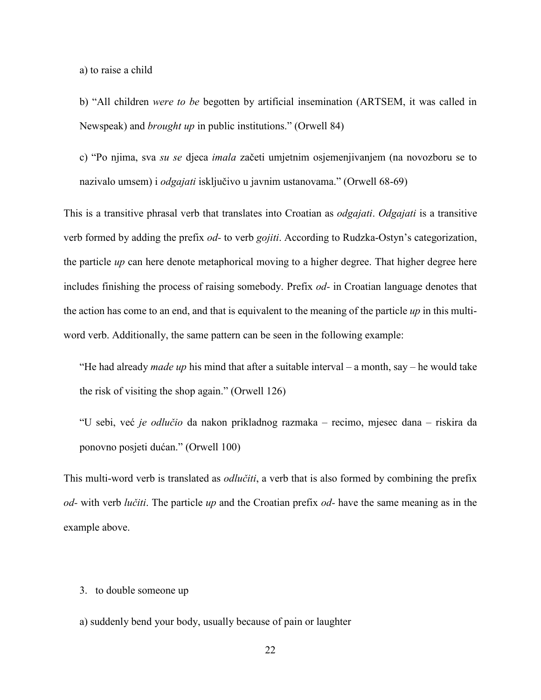a) to raise a child

b) "All children *were to be* begotten by artificial insemination (ARTSEM, it was called in Newspeak) and *brought up* in public institutions." (Orwell 84)

c) "Po njima, sva *su se* djeca *imala* začeti umjetnim osjemenjivanjem (na novozboru se to nazivalo umsem) i *odgajati* isključivo u javnim ustanovama." (Orwell 68-69)

This is a transitive phrasal verb that translates into Croatian as *odgajati*. *Odgajati* is a transitive verb formed by adding the prefix *od-* to verb *gojiti*. According to Rudzka-Ostyn's categorization, the particle *up* can here denote metaphorical moving to a higher degree. That higher degree here includes finishing the process of raising somebody. Prefix *od-* in Croatian language denotes that the action has come to an end, and that is equivalent to the meaning of the particle *up* in this multiword verb. Additionally, the same pattern can be seen in the following example:

"He had already *made up* his mind that after a suitable interval – a month, say – he would take the risk of visiting the shop again." (Orwell 126)

"U sebi, već *je odlučio* da nakon prikladnog razmaka – recimo, mjesec dana – riskira da ponovno posjeti dućan." (Orwell 100)

This multi-word verb is translated as *odlučiti*, a verb that is also formed by combining the prefix *od-* with verb *lučiti*. The particle *up* and the Croatian prefix *od-* have the same meaning as in the example above.

#### 3. to double someone up

a) suddenly bend your body, usually because of pain or laughter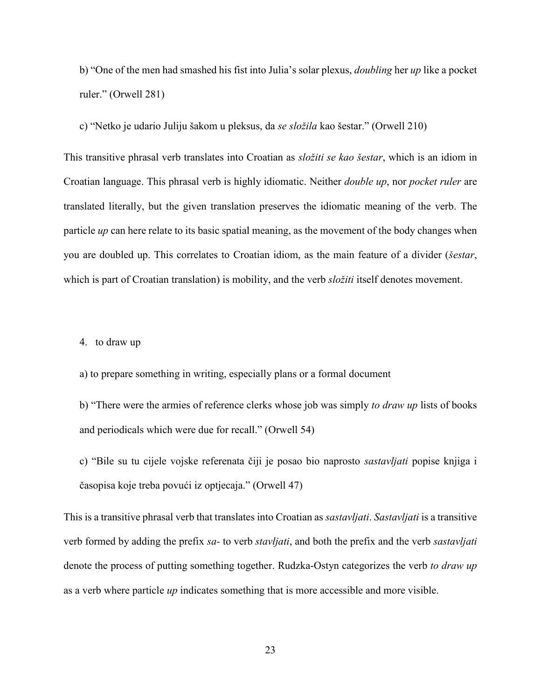b) "One of the men had smashed his fist into Julia's solar plexus, *doubling* her *up* like a pocket ruler." (Orwell 281)

c) "Netko je udario Juliju šakom u pleksus, da *se složila* kao šestar." (Orwell 210)

This transitive phrasal verb translates into Croatian as *složiti se kao šestar*, which is an idiom in Croatian language. This phrasal verb is highly idiomatic. Neither *double up*, nor *pocket ruler* are translated literally, but the given translation preserves the idiomatic meaning of the verb. The particle *up* can here relate to its basic spatial meaning, as the movement of the body changes when you are doubled up. This correlates to Croatian idiom, as the main feature of a divider (*šestar*, which is part of Croatian translation) is mobility, and the verb *složiti* itself denotes movement.

4. to draw up

a) to prepare something in writing, especially plans or a formal document

b) "There were the armies of reference clerks whose job was simply *to draw up* lists of books and periodicals which were due for recall." (Orwell 54)

c) "Bile su tu cijele vojske referenata čiji je posao bio naprosto *sastavljati* popise knjiga i časopisa koje treba povući iz optjecaja." (Orwell 47)

This is a transitive phrasal verb that translates into Croatian as *sastavljati*. *Sastavljati* is a transitive verb formed by adding the prefix *sa-* to verb *stavljati*, and both the prefix and the verb *sastavljati*  denote the process of putting something together. Rudzka-Ostyn categorizes the verb *to draw up* as a verb where particle *up* indicates something that is more accessible and more visible.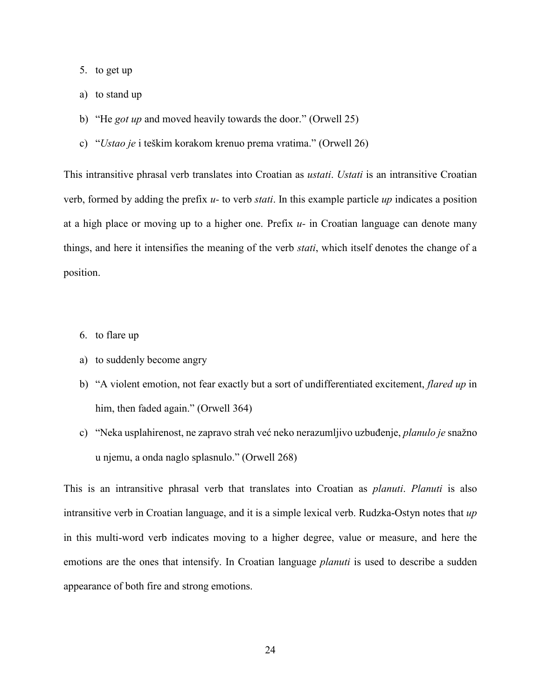- 5. to get up
- a) to stand up
- b) "He *got up* and moved heavily towards the door." (Orwell 25)
- c) "*Ustao je* i teškim korakom krenuo prema vratima." (Orwell 26)

This intransitive phrasal verb translates into Croatian as *ustati*. *Ustati* is an intransitive Croatian verb, formed by adding the prefix *u-* to verb *stati*. In this example particle *up* indicates a position at a high place or moving up to a higher one. Prefix *u-* in Croatian language can denote many things, and here it intensifies the meaning of the verb *stati*, which itself denotes the change of a position.

- 6. to flare up
- a) to suddenly become angry
- b) "A violent emotion, not fear exactly but a sort of undifferentiated excitement, *flared up* in him, then faded again." (Orwell 364)
- c) "Neka usplahirenost, ne zapravo strah već neko nerazumljivo uzbuđenje, *planulo je* snažno u njemu, a onda naglo splasnulo." (Orwell 268)

This is an intransitive phrasal verb that translates into Croatian as *planuti*. *Planuti* is also intransitive verb in Croatian language, and it is a simple lexical verb. Rudzka-Ostyn notes that *up*  in this multi-word verb indicates moving to a higher degree, value or measure, and here the emotions are the ones that intensify. In Croatian language *planuti* is used to describe a sudden appearance of both fire and strong emotions.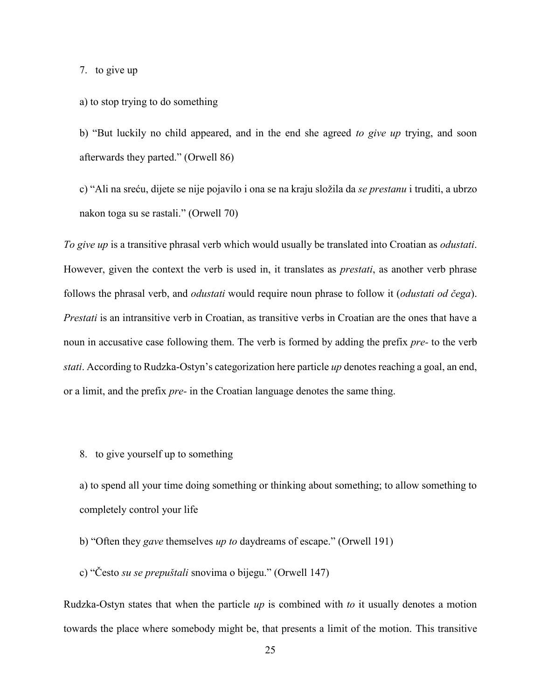7. to give up

#### a) to stop trying to do something

b) "But luckily no child appeared, and in the end she agreed *to give up* trying, and soon afterwards they parted." (Orwell 86)

c) "Ali na sreću, dijete se nije pojavilo i ona se na kraju složila da *se prestanu* i truditi, a ubrzo nakon toga su se rastali." (Orwell 70)

*To give up* is a transitive phrasal verb which would usually be translated into Croatian as *odustati*. However, given the context the verb is used in, it translates as *prestati*, as another verb phrase follows the phrasal verb, and *odustati* would require noun phrase to follow it (*odustati od čega*). *Prestati* is an intransitive verb in Croatian, as transitive verbs in Croatian are the ones that have a noun in accusative case following them. The verb is formed by adding the prefix *pre-* to the verb *stati*. According to Rudzka-Ostyn's categorization here particle *up* denotes reaching a goal, an end, or a limit, and the prefix *pre-* in the Croatian language denotes the same thing.

8. to give yourself up to something

a) to spend all your time doing something or thinking about something; to allow something to completely control your life

- b) "Often they *gave* themselves *up to* daydreams of escape." (Orwell 191)
- c) "Često *su se prepuštali* snovima o bijegu." (Orwell 147)

Rudzka-Ostyn states that when the particle *up* is combined with *to* it usually denotes a motion towards the place where somebody might be, that presents a limit of the motion. This transitive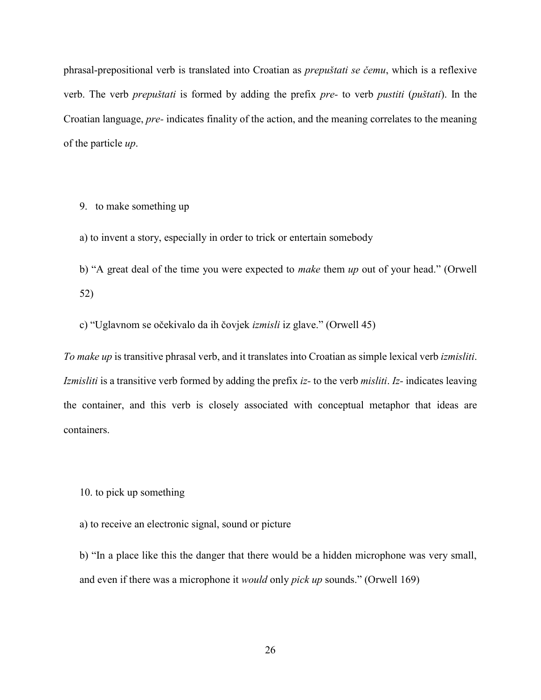phrasal-prepositional verb is translated into Croatian as *prepuštati se čemu*, which is a reflexive verb. The verb *prepuštati* is formed by adding the prefix *pre-* to verb *pustiti* (*puštati*). In the Croatian language, *pre-* indicates finality of the action, and the meaning correlates to the meaning of the particle *up*.

9. to make something up

a) to invent a story, especially in order to trick or entertain somebody

b) "A great deal of the time you were expected to *make* them *up* out of your head." (Orwell 52)

c) "Uglavnom se očekivalo da ih čovjek *izmisli* iz glave." (Orwell 45)

*To make up* is transitive phrasal verb, and it translates into Croatian as simple lexical verb *izmisliti*. *Izmisliti* is a transitive verb formed by adding the prefix *iz-* to the verb *misliti*. *Iz-* indicates leaving the container, and this verb is closely associated with conceptual metaphor that ideas are containers.

10. to pick up something

a) to receive an electronic signal, sound or picture

b) "In a place like this the danger that there would be a hidden microphone was very small, and even if there was a microphone it *would* only *pick up* sounds." (Orwell 169)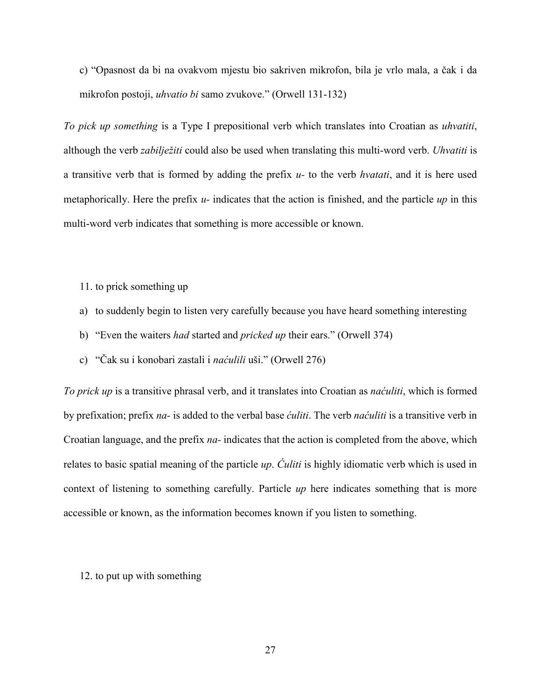c) "Opasnost da bi na ovakvom mjestu bio sakriven mikrofon, bila je vrlo mala, a čak i da mikrofon postoji, *uhvatio bi* samo zvukove." (Orwell 131-132)

*To pick up something* is a Type I prepositional verb which translates into Croatian as *uhvatiti*, although the verb *zabilježiti* could also be used when translating this multi-word verb. *Uhvatiti* is a transitive verb that is formed by adding the prefix *u-* to the verb *hvatati*, and it is here used metaphorically. Here the prefix *u-* indicates that the action is finished, and the particle *up* in this multi-word verb indicates that something is more accessible or known.

- 11. to prick something up
- a) to suddenly begin to listen very carefully because you have heard something interesting
- b) "Even the waiters *had* started and *pricked up* their ears." (Orwell 374)
- c) "Čak su i konobari zastali i *naćulili* uši." (Orwell 276)

*To prick up* is a transitive phrasal verb, and it translates into Croatian as *naćuliti*, which is formed by prefixation; prefix *na-* is added to the verbal base *ćuliti*. The verb *naćuliti* is a transitive verb in Croatian language, and the prefix *na-* indicates that the action is completed from the above, which relates to basic spatial meaning of the particle *up*. *Ćuliti* is highly idiomatic verb which is used in context of listening to something carefully. Particle *up* here indicates something that is more accessible or known, as the information becomes known if you listen to something.

12. to put up with something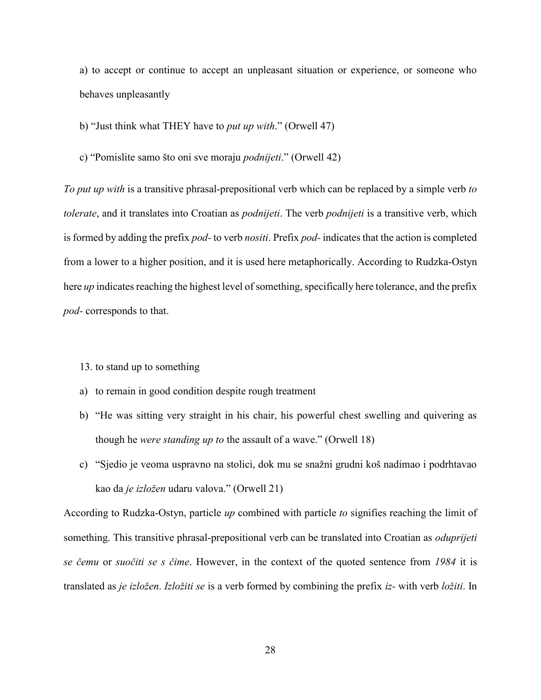a) to accept or continue to accept an unpleasant situation or experience, or someone who behaves unpleasantly

b) "Just think what THEY have to *put up with*." (Orwell 47)

c) "Pomislite samo što oni sve moraju *podnijeti*." (Orwell 42)

*To put up with* is a transitive phrasal-prepositional verb which can be replaced by a simple verb *to tolerate*, and it translates into Croatian as *podnijeti*. The verb *podnijeti* is a transitive verb, which is formed by adding the prefix *pod-* to verb *nositi*. Prefix *pod-* indicates that the action is completed from a lower to a higher position, and it is used here metaphorically. According to Rudzka-Ostyn here *up* indicates reaching the highest level of something, specifically here tolerance, and the prefix *pod-* corresponds to that.

- 13. to stand up to something
- a) to remain in good condition despite rough treatment
- b) "He was sitting very straight in his chair, his powerful chest swelling and quivering as though he *were standing up to* the assault of a wave." (Orwell 18)
- c) "Sjedio je veoma uspravno na stolici, dok mu se snažni grudni koš nadimao i podrhtavao kao da *je izložen* udaru valova." (Orwell 21)

According to Rudzka-Ostyn, particle *up* combined with particle *to* signifies reaching the limit of something. This transitive phrasal-prepositional verb can be translated into Croatian as *oduprijeti se čemu* or *suočiti se s čime*. However, in the context of the quoted sentence from *1984* it is translated as *je izložen*. *Izložiti se* is a verb formed by combining the prefix *iz-* with verb *ložiti*. In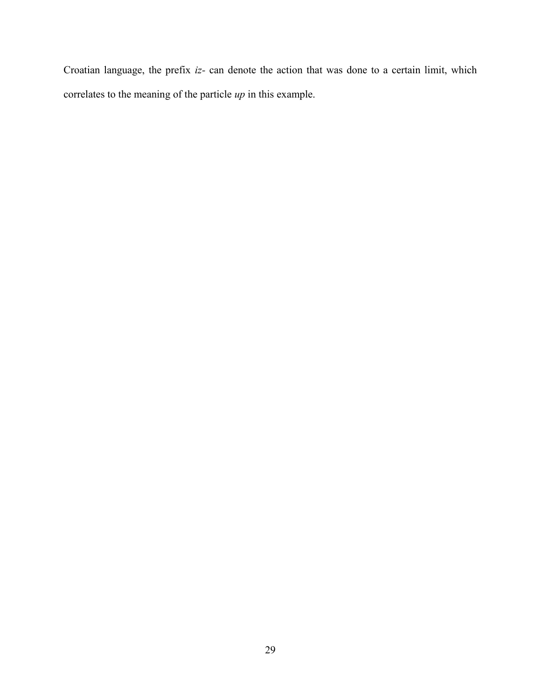Croatian language, the prefix *iz-* can denote the action that was done to a certain limit, which correlates to the meaning of the particle *up* in this example.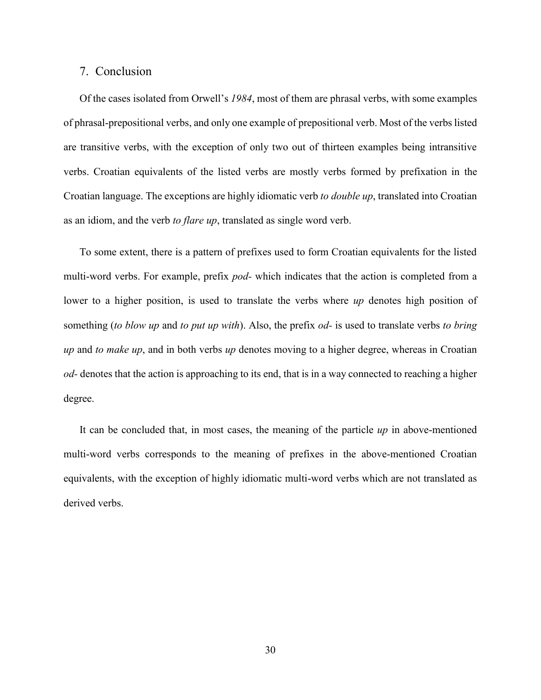#### <span id="page-30-0"></span>7. Conclusion

Of the cases isolated from Orwell's *1984*, most of them are phrasal verbs, with some examples of phrasal-prepositional verbs, and only one example of prepositional verb. Most of the verbs listed are transitive verbs, with the exception of only two out of thirteen examples being intransitive verbs. Croatian equivalents of the listed verbs are mostly verbs formed by prefixation in the Croatian language. The exceptions are highly idiomatic verb *to double up*, translated into Croatian as an idiom, and the verb *to flare up*, translated as single word verb.

To some extent, there is a pattern of prefixes used to form Croatian equivalents for the listed multi-word verbs. For example, prefix *pod-* which indicates that the action is completed from a lower to a higher position, is used to translate the verbs where *up* denotes high position of something (*to blow up* and *to put up with*). Also, the prefix *od-* is used to translate verbs *to bring up* and *to make up*, and in both verbs *up* denotes moving to a higher degree, whereas in Croatian *od-* denotes that the action is approaching to its end, that is in a way connected to reaching a higher degree.

It can be concluded that, in most cases, the meaning of the particle *up* in above-mentioned multi-word verbs corresponds to the meaning of prefixes in the above-mentioned Croatian equivalents, with the exception of highly idiomatic multi-word verbs which are not translated as derived verbs.